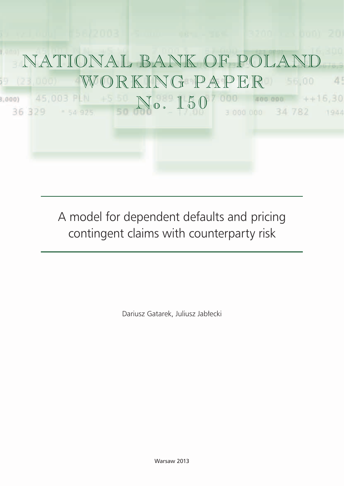

A model for dependent defaults and pricing contingent claims with counterparty risk

Dariusz Gatarek, Juliusz Jabłecki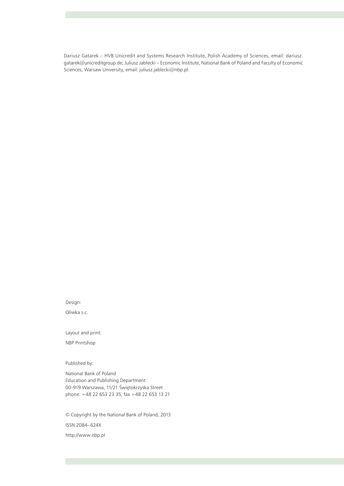Dariusz Gatarek – HVB Unicredit and Systems Research Institute, Polish Academy of Sciences, email: dariusz. gatarek@unicreditgroup.de; Juliusz Jabłecki – Economic Institute, National Bank of Poland and Faculty of Economic Sciences, Warsaw University, email: juliusz.jablecki@nbp.pl.

Design:

Oliwka s.c.

Layout and print:

NBP Printshop

Published by:

National Bank of Poland Education and Publishing Department 00-919 Warszawa, 11/21 Świętokrzyska Street phone: +48 22 653 23 35, fax +48 22 653 13 21

© Copyright by the National Bank of Poland, 2013 ISSN 2084–624X http://www.nbp.pl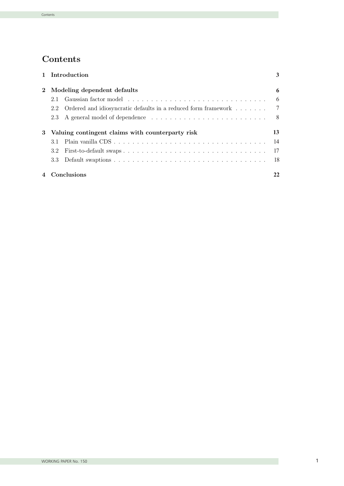# Contents

|             | 1 Introduction                                                                                                                                                                                                                       | 3   |
|-------------|--------------------------------------------------------------------------------------------------------------------------------------------------------------------------------------------------------------------------------------|-----|
| $2^{\circ}$ | Modeling dependent defaults                                                                                                                                                                                                          | 6   |
|             | Gaussian factor model experience in the series of the series of the series of the series of the series of the series of the series of the series of the series of the series of the series of the series of the series of the<br>2.1 | -6  |
|             | Ordered and idiosyncratic defaults in a reduced form framework 7<br>2.2                                                                                                                                                              |     |
|             |                                                                                                                                                                                                                                      |     |
|             | 3 Valuing contingent claims with counterparty risk                                                                                                                                                                                   | 13  |
|             | 3.1                                                                                                                                                                                                                                  | -14 |
|             | 3.2                                                                                                                                                                                                                                  |     |
|             | 3.3                                                                                                                                                                                                                                  |     |
|             | 4 Conclusions                                                                                                                                                                                                                        |     |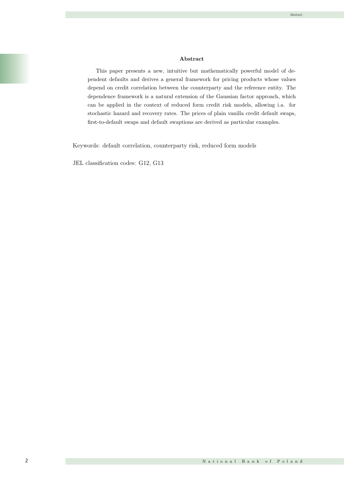#### Abstract

This paper presents a new, intuitive but mathematically powerful model of dependent defaults and derives a general framework for pricing products whose values depend on credit correlation between the counterparty and the reference entity. The dependence framework is a natural extension of the Gaussian factor approach, which can be applied in the context of reduced form credit risk models, allowing i.a. for stochastic hazard and recovery rates. The prices of plain vanilla credit default swaps, first-to-default swaps and default swaptions are derived as particular examples.

Keywords: default correlation, counterparty risk, reduced form models

JEL classification codes: G12, G13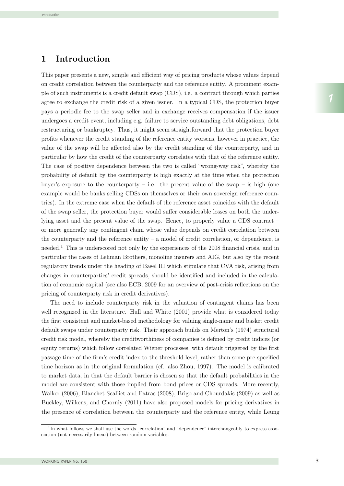# 1 Introduction

This paper presents a new, simple and efficient way of pricing products whose values depend on credit correlation between the counterparty and the reference entity. A prominent example of such instruments is a credit default swap (CDS), i.e. a contract through which parties agree to exchange the credit risk of a given issuer. In a typical CDS, the protection buyer pays a periodic fee to the swap seller and in exchange receives compensation if the issuer undergoes a credit event, including e.g. failure to service outstanding debt obligations, debt restructuring or bankruptcy. Thus, it might seem straightforward that the protection buyer profits whenever the credit standing of the reference entity worsens, however in practice, the value of the swap will be affected also by the credit standing of the counterparty, and in particular by how the credit of the counterparty correlates with that of the reference entity. The case of positive dependence between the two is called "wrong-way risk", whereby the probability of default by the counterparty is high exactly at the time when the protection buyer's exposure to the counterparty – i.e. the present value of the swap – is high (one example would be banks selling CDSs on themselves or their own sovereign reference countries). In the extreme case when the default of the reference asset coincides with the default of the swap seller, the protection buyer would suffer considerable losses on both the underlying asset and the present value of the swap. Hence, to properly value a CDS contract  $$ or more generally any contingent claim whose value depends on credit correlation between the counterparty and the reference entity  $-$  a model of credit correlation, or dependence, is needed.<sup>1</sup> This is underscored not only by the experiences of the 2008 financial crisis, and in particular the cases of Lehman Brothers, monoline insurers and AIG, but also by the recent -<br>regulatory trends under the heading of Basel III which stipulate that CVA risk, arising from changes in counterparties' credit spreads, should be identified and included in the calculation of economic capital (see also ECB, 2009 for an overview of post-crisis reflections on the pricing of counterparty risk in credit derivatives).

The need to include counterparty risk in the valuation of contingent claims has been well recognized in the literature. Hull and White (2001) provide what is considered today the first consistent and market-based methodology for valuing single-name and basket credit default swaps under counterparty risk. Their approach builds on Merton's (1974) structural credit risk model, whereby the creditworthiness of companies is defined by credit indices (or equity returns) which follow correlated Wiener processes, with default triggered by the first passage time of the firm's credit index to the threshold level, rather than some pre-specified time horizon as in the original formulation (cf. also Zhou, 1997). The model is calibrated to market data, in that the default barrier is chosen so that the default probabilities in the model are consistent with those implied from bond prices or CDS spreads. More recently, Walker (2006), Blanchet-Scalliet and Patras (2008), Brigo and Chourdakis (2009) as well as the presence of correlation between the counterparty and the reference entity, while Leung Buckley, Wilkens, and Chorniy (2011) have also proposed models for pricing derivatives in

and  $\mathcal{L}_{\mathcal{B}}$  and  $\mathcal{L}_{\mathcal{B}}$  and  $\mathcal{L}_{\mathcal{B}}$  prices allowing in addition for addition for addition for a  $1$ In what follows we shall use the words "correlation" and "dependence" interchangeably to express asso- $T_{\rm eff}$  counterparty risk models proposed so far fall roughly into one of the two broad ciation (not necessarily linear) between random variables.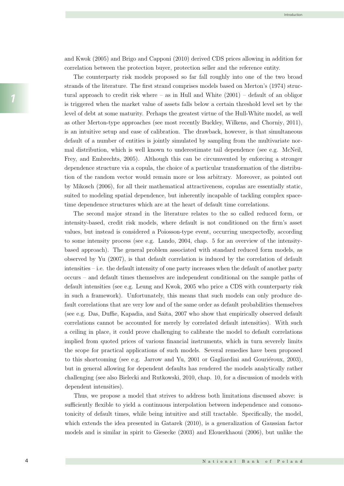and Kwok (2005) and Brigo and Capponi (2010) derived CDS prices allowing in addition for correlation between the protection buyer, protection seller and the reference entity.

The counterparty risk models proposed so far fall roughly into one of the two broad strands of the literature. The first strand comprises models based on Merton's (1974) structural approach to credit risk where  $-$  as in Hull and White  $(2001)$   $-$  default of an obligor is triggered when the market value of assets falls below a certain threshold level set by the level of debt at some maturity. Perhaps the greatest virtue of the Hull-White model, as well as other Merton-type approaches (see most recently Buckley, Wilkens, and Chorniy, 2011), is an intuitive setup and ease of calibration. The drawback, however, is that simultaneous default of a number of entities is jointly simulated by sampling from the multivariate normal distribution, which is well known to underestimate tail dependence (see e.g. McNeil, Frey, and Embrechts, 2005). Although this can be circumvented by enforcing a stronger dependence structure via a copula, the choice of a particular transformation of the distribution of the random vector would remain more or less arbitrary. Moreover, as pointed out by Mikosch (2006), for all their mathematical attractiveness, copulas are essentially static, suited to modeling spatial dependence, but inherently incapable of tackling complex spacetime dependence structures which are at the heart of default time correlations.

The second major strand in the literature relates to the so called reduced form, or intensity-based, credit risk models, where default is not conditioned on the firm's asset values, but instead is considered a Poiosson-type event, occurring unexpectedly, according to some intensity process (see e.g. Lando, 2004, chap. 5 for an overview of the intensitybased approach). The general problem associated with standard reduced form models, as observed by Yu (2007), is that default correlation is induced by the correlation of default intensities – i.e. the default intensity of one party increases when the default of another party occurs – and default times themselves are independent conditional on the sample paths of default intensities (see e.g. Leung and Kwok, 2005 who price a CDS with counterparty risk in such a framework). Unfortunately, this means that such models can only produce default correlations that are very low and of the same order as default probabilities themselves (see e.g. Das, Duffie, Kapadia, and Saita, 2007 who show that empirically observed default correlations cannot be accounted for merely by correlated default intensities). With such a ceiling in place, it could prove challenging to calibrate the model to default correlations implied from quoted prices of various financial instruments, which in turn severely limits the scope for practical applications of such models. Several remedies have been proposed 7 to this shortcoming (see e.g. Jarrow and Yu,  $2001$  or Gagliardini and Gouriéroux,  $2003$ ), but in general allowing for dependent defaults has rendered the models analytically rather challenging (see also Bielecki and Rutkowski, 2010, chap. 10, for a discussion of models with dependent intensities).

Thus, we propose a model that strives to address both limitations discussed above: is sufficiently flexible to yield a continuous interpolation between independence and comonotonicity of default times, while being intuitive and still tractable. Specifically, the model, which extends the idea presented in Gatarek (2010), is a generalization of Gaussian factor models and is similar in spirit to Giesecke (2003) and Elouerkhaoui (2006), but unlike the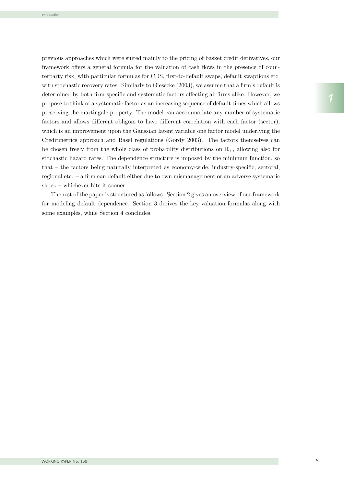previous approaches which were suited mainly to the pricing of basket credit derivatives, our framework offers a general formula for the valuation of cash flows in the presence of counterparty risk, with particular formulas for CDS, first-to-default swaps, default swaptions etc. with stochastic recovery rates. Similarly to Giesecke (2003), we assume that a firm's default is determined by both firm-specific and systematic factors affecting all firms alike. However, we propose to think of a systematic factor as an increasing sequence of default times which allows preserving the martingale property. The model can accommodate any number of systematic factors and allows different obligors to have different correlation with each factor (sector), which is an improvement upon the Gaussian latent variable one factor model underlying the Creditmetrics approach and Basel regulations (Gordy 2003). The factors themselves can be chosen freely from the whole class of probability distributions on  $\mathbb{R}_+$ , allowing also for stochastic hazard rates. The dependence structure is imposed by the minimum function, so that – the factors being naturally interpreted as economy-wide, industry-specific, sectoral, regional etc. – a firm can default either due to own mismanagement or an adverse systematic shock – whichever hits it sooner.

The rest of the paper is structured as follows. Section 2 gives an overview of our framework for modeling default dependence. Section 3 derives the key valuation formulas along with some examples, while Section 4 concludes.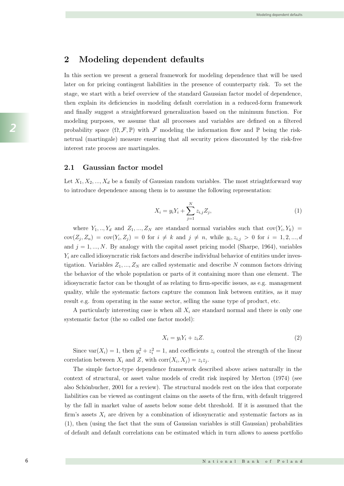#### 2 Modeling dependent defaults

In this section we present a general framework for modeling dependence that will be used later on for pricing contingent liabilities in the presence of counterparty risk. To set the stage, we start with a brief overview of the standard Gaussian factor model of dependence, then explain its deficiencies in modeling default correlation in a reduced-form framework and finally suggest a straightforward generalization based on the minimum function. For modeling purposes, we assume that all processes and variables are defined on a filtered probability space  $(\Omega, \mathcal{F}, \mathbb{P})$  with F modeling the information flow and P being the risknetrual (martingale) measure ensuring that all security prices discounted by the risk-free interest rate process are martingales.

#### 2.1 Gaussian factor model

Let  $X_1, X_2, ..., X_d$  be a family of Gaussian random variables. The most striaghtforward way to introduce dependence among them is to assume the following representation:

$$
X_i = y_i Y_i + \sum_{j=1}^{N} z_{i,j} Z_j,
$$
\n(1)

where  $Y_1, ..., Y_d$  and  $Z_1, ..., Z_N$  are standard normal variables such that  $cov(Y_i, Y_k)$  $cov(Z_i, Z_n) = cov(Y_i, Z_i) = 0$  for  $i \neq k$  and  $j \neq n$ , while  $y_i, z_{i,j} > 0$  for  $i = 1, 2, ..., d$ and  $j = 1, ..., N$ . By analogy with the capital asset pricing model (Sharpe, 1964), variables  $Y_i$  are called idiosyncratic risk factors and describe individual behavior of entities under investigation. Variables  $Z_1, ..., Z_N$  are called systematic and describe N common factors driving the behavior of the whole population or parts of it containing more than one element. The idiosyncratic factor can be thought of as relating to firm-specific issues, as e.g. management quality, while the systematic factors capture the common link between entities, as it may result e.g. from operating in the same sector, selling the same type of product, etc.

A particularly interesting case is when all  $X_i$  are standard normal and there is only one systematic factor (the so called one factor model):

$$
X_i = y_i Y_i + z_i Z. \tag{2}
$$

Since  $\text{var}(X_i) = 1$ , then  $y_i^2 + z_i^2 = 1$ , and coefficients  $z_i$  control the strength of the linear correlation between  $X_i$  and Z, with corr $(X_i, X_j) = z_i z_j$ .

The simple factor-type dependence framework described above arises naturally in the context of structural, or asset value models of credit risk inspired by Merton (1974) (see also Schönbucher, 2001 for a review). The structural models rest on the idea that corporate firm's assets  $X_i$  are driven by a combination of idiosyncratic and systematic factors as in liabilities can be viewed as contingent claims on the assets of the firm, with default triggered by the fall in market value of assets below some debt threshold. If it is assumed that the (1), then (using the fact that the sum of Gaussian variables is still Gaussian) probabilities of default and default correlations can be estimated which in turn allows to assess portfolio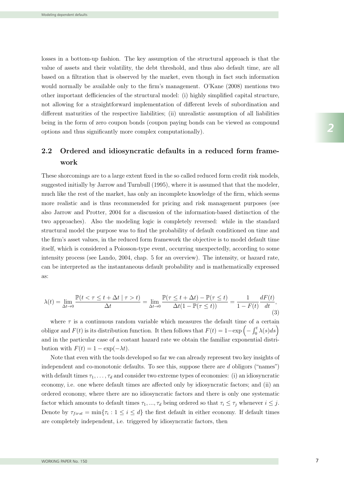losses in a bottom-up fashion. The key assumption of the structural approach is that the value of assets and their volatility, the debt threshold, and thus also default time, are all based on a filtration that is observed by the market, even though in fact such information would normally be available only to the firm's management. O'Kane (2008) mentions two other important defficiencies of the structural model: (i) highly simplified capital structure, not allowing for a straightforward implementation of different levels of subordination and different maturities of the respective liabilities; (ii) unrealistic assumption of all liabilities being in the form of zero coupon bonds (coupon paying bonds can be viewed as compound options and thus significantly more complex computationally).

## 2.2 Ordered and idiosyncratic defaults in a reduced form framework

These shorcomings are to a large extent fixed in the so called reduced form credit risk models, suggested initially by Jarrow and Turnbull (1995), where it is assumed that that the modeler, much like the rest of the market, has only an incomplete knowledge of the firm, which seems more realistic and is thus recommended for pricing and risk management purposes (see also Jarrow and Protter, 2004 for a discussion of the information-based distinction of the two approaches). Also the modeling logic is completely reversed: while in the standard structural model the purpose was to find the probability of default conditioned on time and the firm's asset values, in the reduced form framework the objective is to model default time itself, which is considered a Poiosson-type event, occurring unexpectedly, according to some intensity process (see Lando, 2004, chap. 5 for an overview). The intensity, or hazard rate, can be interpreted as the instantaneous default probability and is mathematically expressed as:

$$
\lambda(t) = \lim_{\Delta t \to 0} \frac{\mathbb{P}(t < \tau \le t + \Delta t \mid \tau > t)}{\Delta t} = \lim_{\Delta t \to 0} \frac{\mathbb{P}(\tau \le t + \Delta t) - \mathbb{P}(\tau \le t)}{\Delta t (1 - \mathbb{P}(\tau \le t))} = \frac{1}{1 - F(t)} \frac{dF(t)}{dt},\tag{3}
$$

where  $\tau$  is a continuous random variable which measures the default time of a certain obligor and  $F(t)$  is its distribution function. It then follows that  $F(t)=1-\exp \left(-\int_0^t \lambda(s)ds\right)$ and in the particular case of a costant hazard rate we obtain the familiar exponential distribution with  $F(t)=1 - \exp(-\lambda t)$ .

independent and co-monotonic defaults. To see this, suppose there are d obligors ("names") Note that even with the tools developed so far we can already represent two key insights of with default times  $\tau_1, \ldots, \tau_d$  and consider two extreme types of economies: (i) an idiosyncratic economy, i.e. one where default times are affected only by idiosyncratic factors; and (ii) an ordered economy, where there are no idiosyncratic factors and there is only one systematic factor which amounts to default times  $\tau_1, ..., \tau_d$  being ordered so that  $\tau_i \leq \tau_j$  whenever  $i \leq j$ . Denote by  $\tau_{first} = \min{\tau_i : 1 \leq i \leq d}$  the first default in either economy. If default times are completely independent, i.e. triggered by idiosyncratic factors, then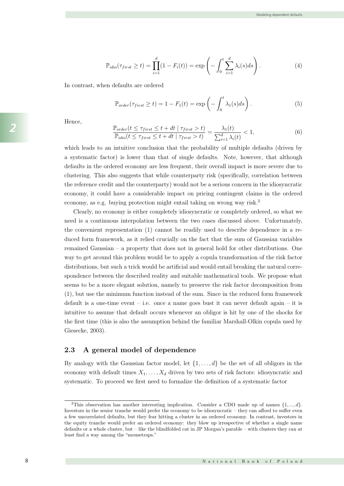$$
\mathbb{P}_{\text{idio}}(\tau_{\text{first}} \ge t) = \prod_{i=1}^{d} (1 - F_i(t)) = \exp\left(-\int_0^t \sum_{i=1}^d \lambda_i(s) ds\right). \tag{4}
$$

economy, i.e. one where default times are affected only by idiosyncratic factors; and (ii) an

In contrast, when defaults are ordered

$$
\mathbb{P}_{order}(\tau_{first} \ge t) = 1 - F_1(t) = \exp\left(-\int_0^t \lambda_1(s)ds\right). \tag{5}
$$

Hence, Note that even with the tools developed so far we can already represent two key insights of

$$
\frac{\mathbb{P}_{order}(t \leq \tau_{first} \leq t + dt \mid \tau_{first} > t)}{\mathbb{P}_{idio}(t \leq \tau_{first} \leq t + dt \mid \tau_{first} > t)} = \frac{\lambda_1(t)}{\sum_{i=1}^d \lambda_i(t)} < 1,
$$
\n(6)

which leads to an intuitive conclusion that the probability of multiple defaults (driven by a systematic factor) is lower than that of single defaults. Note, however, that although defaults in the ordered economy are less frequent, their overall impact is more severe due to clustering. This also suggests that while counterparty risk (specifically, correlation between the reference credit and the counterparty) would not be a serious concern in the idiosyncratic economy, it could have a considerable impact on pricing contingent claims in the ordered economy, it could have a considerable impact on pricing contingent claim<br>economy, as e.g. buying protection might entail taking on wrong way risk.<sup>2</sup>  $\frac{1}{2}$ 

Clearly, no economy is either completely idiosyncratic or completely ordered, so what we need is a continuous interpolation between the two cases discussed above. Unfortunately, the convenient representation (1) cannot be readily used to describe dependence in a reduced form framework, as it relied crucially on the fact that the sum of Gaussian variables remained Gaussian – a property that does not in general hold for other distributions. One way to get around this problem would be to apply a copula transformation of the risk factor distributions, but such a trick would be artificial and would entail breaking the natural corre-<br>spondence between the described reality and suitable mathematical tools. We propose what spondence between the described reality and suitable mathematical tools. We propose what a few uncorrelated defaults, but they fear hitting a cluster in an ordered economy. In contrast, investors in seems to be a more elegant solution, namely to preserve the risk factor decomposition from (1), but use the minimum function instead of the sum. Since in the reduced form framework default is a one-time event – i.e. once a name goes bust it can never default again – it is the first time (this is also the assumption behind the familiar Marshall-Olkin copula used by intuitive to assume that default occurs whenever an obligor is hit by one of the shocks for Giesecke,  $2003$ ). at the sum of Gaussian variables

### 2.3 A general model of dependence

By analogy with the Gaussian factor model, let  $\{1, \ldots, d\}$  be the set of all obligors in the economy with default times  $X_1, \ldots, X_d$  driven by two sets of risk factors: idiosyncratic and systematic. To proceed we first need to formalize the definition of a systematic factor

understood as a family of random variables which can be put in increasing order. Although

Definition 1. A family of random variables Zi, 1 ≤ i ≤ i ≤ i ≤ i ≤ i ≤ d, with given distributions is called t<br>Definitions is called the called the called the called the called the called the called the called the called

<sup>&</sup>lt;sup>2</sup>This observation has another interesting implication. Consider a CDO made up of names  $\{1, ..., d\}$ . threstors in the senior trainer would preter the economy to be throsyncrated they can allow to suffer even<br>a few uncorrelated defaults, but they fear hitting a cluster in an ordered economy. In contrast, investors in defaults or a whole cluster, but – like the blindfolded cat in JP Morgan's parable – with clusters they can at least find a way among the "mousetraps." Investors in the senior tranche would prefer the economy to be idiosyncratic – they can afford to suffer even the equity tranche would prefer an ordered economy: they blow up irrespective of whether a single name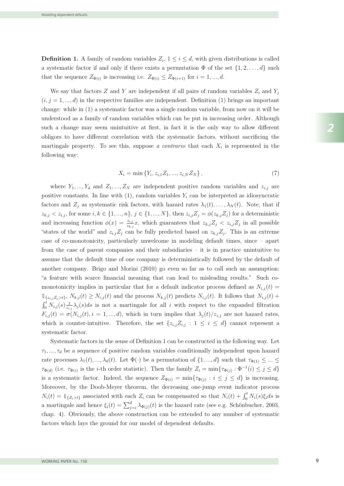**Definition 1.** A family of random variables  $Z_i$ ,  $1 \leq i \leq d$ , with given distributions is called a systematic factor if and only if there exists a permutation  $\Phi$  of the set  $\{1, 2, \ldots, d\}$  such that the sequence  $Z_{\Phi(i)}$  is increasing i.e.  $Z_{\Phi(i)} \leq Z_{\Phi(i+1)}$  for  $i = 1, ..., d$ .

We say that factors Z and Y are independent if all pairs of random variables  $Z_i$  and  $Y_j$  $(i, j = 1, ..., d)$  in the respective families are independent. Definition (1) brings an important change: while in (1) a systematic factor was a single random variable, from now on it will be understood as a family of random variables which can be put in increasing order. Although such a change may seem unintuitive at first, in fact it is the only way to allow different obligors to have different correlation with the systematic factors, without sacrificing the martingale property. To see this, suppose a contrario that each  $X_i$  is represented in the following way:

$$
X_i = \min \{ Y_i, z_{i,1} Z_1, ..., z_{i,N} Z_N \},\tag{7}
$$

where  $Y_1, ..., Y_d$  and  $Z_1, ..., Z_N$  are independent positive random variables and  $z_{i,j}$  are positive constants. In line with  $(1)$ , random variables  $Y_i$  can be interpreted as idiosyncratic factors and  $Z_j$  as systematic risk factors, with hazard rates  $\lambda_1(t),\ldots,\lambda_N(t)$ . Note, that if  $z_{k,j} < z_{i,j}$ , for some  $i, k \in \{1, ..., n\}, j \in \{1, ..., N\}$ , then  $z_{i,j} Z_j = \phi(z_{k,j} Z_j)$  for a deterministic and increasing function  $\phi(x) = \frac{z_{i,j}}{z_{k,j}}x$ , which guarantees that  $z_{k,j}Z_j \leq z_{i,j}Z_j$  in all possible "states of the world" and  $z_{i,j}Z_j$  can be fully predicted based on  $z_{k,j}Z_j$ . This is an extreme case of co-monotonicity, particularly unwelcome in modeling default times, since – apart from the case of parent companies and their subsidiaries – it is in practice unintuitive to assume that the default time of one company is deterministically followed by the default of "a feature with scarce financial meaning that can lead to misleading results." Such coanother company. Brigo and Morini (2010) go even so far as to call such an assumption: monotonicity implies in particular that for a default indicator process defined as  $N_{i,j}(t)$  $\mathbb{1}_{\{z_{i,j}Z_j>t\}}$ ,  $N_{k,j}(t) \geq N_{i,j}(t)$  and the process  $N_{k,j}(t)$  predicts  $N_{i,j}(t)$ . It follows that  $N_{i,j}(t)$  +  $\int_0^t N_{i,j}(s) \frac{1}{z_{i,j}} \lambda_j(s) ds$  is not a martingale for all i with respect to the expanded filtration  $F_{i,j}(t) = \sigma(N_{i,j}(t), i = 1, ..., d)$ , which in turn implies that  $\lambda_j(t)/z_{i,j}$  are not hazard rates, which is counter-intuitive. Therefore, the set  $\{z_{i,j}Z_{i,j} : 1 \leq i \leq d\}$  cannot represent a systematic factor.

Systematic factors in the sense of Definition 1 can be constructed in the following way. Let  $\tau_1, \ldots, \tau_d$  be a sequence of positive random variables conditionally independent upon hazard rate processes  $\lambda_1(t), ..., \lambda_d(t)$ . Let  $\Phi(\cdot)$  be a permutation of  $\{1, ..., d\}$  such that  $\tau_{\Phi(1)} \leq ... \leq$  $\tau_{\Phi(d)}$  (i.e.  $\tau_{\Phi(i)}$  is the *i*-th order statistic). Then the family  $Z_i = \min{\{\tau_{\Phi(j)} : \Phi^{-1}(i) \leq j \leq d\}}$ is a systematic factor. Indeed, the sequence  $Z_{\Phi(i)} = \min\{\tau_{\Phi(j)} : i \leq j \leq d\}$  is increasing. Moreover, by the Doob-Meyer theorem, the decreasing one-jump event indicator process  $N_i(t) = \mathbb{1}_{\{Z_i > t\}}$  associated with each  $Z_i$  can be compensated so that  $N_i(t) + \int_0^t N_i(s)\xi_i ds$  is a martingale and hence  $\xi_i(t) = \sum_{j=i}^d \lambda_{\Phi(j)}(t)$  is the hazard rate (see e.g. Schönbucher, 2003, chap. 4). Obviously, the above construction can be extended to any number of systematic factors which lays the ground for our model of dependent defaults.

<sup>i</sup> (in the sense of Defi-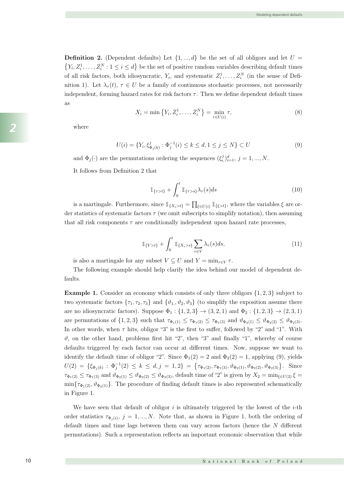**Definition 2.** (Dependent defaults) Let  $\{1, ..., d\}$  be the set of all obligors and let  $U =$  $Y_i, Z_i^1, \ldots, Z_i^N : 1 \leq i \leq d$  be the set of positive random variables describing default times of all risk factors, both idiosyncratic,  $Y_i$ , and systematic  $Z_i^1, \ldots, Z_i^N$  (in the sense of Definition 1). Let  $\lambda_{\tau}(t)$ ,  $\tau \in U$  be a family of continuous stochastic processes, not necessarily independent, forming hazard rates for risk factors  $\tau$ . Then we define dependent default times as

 $\mathcal{L}_{\mathcal{A}}$  , by the Doob-Meyer theorem, the decreasing one-jump event indicator processes in distribution on

$$
X_i = \min \{ Y_i, Z_i^1, \dots, Z_i^N \} = \min_{\tau \in U(i)} \tau,
$$
\n(8)

where

$$
U(i) = \{ Y_i, \xi_{\Phi_j(k)}^j : \Phi_j^{-1}(i) \le k \le d, 1 \le j \le N \} \subset U
$$
\n(9)

and  $\Phi_j(\cdot)$  are the permutations ordering the sequences  $(\xi_i^j)_{i=1}^d$ ,  $j = 1, ..., N$ .

It follows from Definition 2 that

$$
\mathbb{1}_{\{\tau>t\}} + \int_0^t \mathbb{1}_{\{\tau>s\}} \lambda_\tau(s) ds \tag{10}
$$

is a martingale. Furthermore, since  $\mathbb{1}_{\{X_i > t\}} = \prod_{\xi \in U(i)} \mathbb{1}_{\{\xi > t\}}$ , where the variables  $\xi$  are order statistics of systematic factors  $\tau$  (we omit subscripts to simplify notation), then assuming that all risk components  $\tau$  are conditionally independent upon hazard rate processes,

$$
\mathbb{1}_{\{Y>t\}} + \int_0^t \mathbb{1}_{\{X_i > s\}} \sum_{\tau \in V} \lambda_\tau(s) ds,
$$
\n(11)

is also a martingale for any subset  $V \subseteq U$  and  $Y = \min_{\tau \in V} \tau$ .

The following example should help clarify the idea behind our model of dependent defaults.

**Example 1.** Consider an economy which consists of only three obligors  $\{1, 2, 3\}$  subject to two systematic factors  $\{\tau_1, \tau_2, \tau_3\}$  and  $\{\vartheta_1, \vartheta_2, \vartheta_3\}$  (to simplify the exposition assume there are no idiosyncratic factors). Suppose  $\Phi_1 : \{1, 2, 3\} \to (3, 2, 1)$  and  $\Phi_2 : \{1, 2, 3\} \to (2, 3, 1)$ are permutations of  $\{1,2,3\}$  such that  $\tau_{\Phi_1(1)} \leq \tau_{\Phi_1(2)} \leq \tau_{\Phi_1(3)}$  and  $\vartheta_{\Phi_2(1)} \leq \vartheta_{\Phi_2(2)} \leq \vartheta_{\Phi_2(3)}$ . In other words, when  $\tau$  hits, obligor "3" is the first to suffer, followed by "2" and "1". With  $\vartheta$ , on the other hand, problems first hit "2", then "3" and finally "1", whereby of course defaults triggered by each factor can occur at different times. Now, suppose we want to identify the default time of obligor "2". Since  $\Phi_1(2) = 2$  and  $\Phi_2(2) = 1$ , applying (9), yields  $U(2) = \{\xi_{\Phi_j(k)} : \Phi_j^{-1}(2) \leq k \leq d, j = 1, 2\} = \{\tau_{\Phi_1(2)}, \tau_{\Phi_1(3)}, \vartheta_{\Phi_2(1)}, \vartheta_{\Phi_2(2)}, \vartheta_{\Phi_2(3)}\}$ . Since  $\tau_{\Phi_1(2)} \leq \tau_{\Phi_1(3)}$  and  $\vartheta_{\Phi_2(1)} \leq \vartheta_{\Phi_2(2)} \leq \vartheta_{\Phi_2(3)}$ , default time of "2" is given by  $X_2 = \min_{\xi \in U(2)} \xi =$  $\min\{\tau_{\Phi_1(2)}, \vartheta_{\Phi_2(1)}\}.$  The procedure of finding default times is also represented schematically in Figure 1.

We have seen that default of obligor  $i$  is ultimately triggered by the lowest of the  $i$ -th order statistics  $\tau_{\Phi_i(i)}, j = 1, ..., N$ . Note that, as shown in Figure 1, both the ordering of default times and time lags between them can vary across factors (hence the N different permutations). Such a representation reflects an important economic observation that while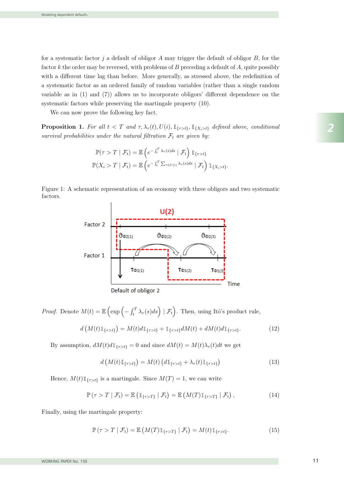for a systematic factor j a default of obligor  $A$  may trigger the default of obligor  $B$ , for the factor  $k$  the order may be reversed, with problems of  $B$  preceding a default of  $A$ , quite possibly with a different time lag than before. More generally, as stressed above, the redefinition of a systematic factor as an ordered family of random variables (rather than a single random variable as in (1) and (7)) allows us to incorporate obligors' different dependence on the systematic factors while preserving the martingale property (10).

We can now prove the following key fact.

**Proposition 1.** For all  $t < T$  and  $\tau, \lambda_{\tau}(t), U(i), \mathbb{1}_{\{\tau > t\}}, \mathbb{1}_{\{X_i > t\}}$  defined above, conditional survival probabilities under the natural filtration  $\mathcal{F}_t$  are given by:

$$
\mathbb{P}(\tau > T \mid \mathcal{F}_t) = \mathbb{E}\left(e^{-\int_t^T \lambda_\tau(s)ds} \mid \mathcal{F}_t\right) \mathbb{1}_{\{\tau > t\}}
$$

$$
\mathbb{P}(X_i > T \mid \mathcal{F}_t) = \mathbb{E}\left(e^{-\int_t^T \sum_{\tau \in U(i)} \lambda_\tau(s)ds} \mid \mathcal{F}_t\right) \mathbb{1}_{\{X_i > t\}}.
$$

Figure 1: A schematic representation of an economy with three obligors and two systematic factors.



*Proof.* Denote  $M(t) = \mathbb{E}\left(\exp\left(-\int_t^T \lambda_\tau(s)ds\right) \mid \mathcal{F}_t\right)$ ). Then, using Itô's product rule,

$$
d\left(M(t)\mathbb{1}_{\{\tau>t\}}\right) = M(t)d\mathbb{1}_{\{\tau>t\}} + \mathbb{1}_{\{\tau>t\}}dM(t) + dM(t)d\mathbb{1}_{\{\tau>t\}}.\tag{12}
$$

By assumption,  $dM(t)d\mathbb{1}_{\{\tau>t\}}=0$  and since  $dM(t)=M(t)\lambda_\tau(t)dt$  we get

$$
d\left(M(t)\mathbb{1}_{\{\tau>t\}}\right) = M(t)\left(d\mathbb{1}_{\{\tau>t\}} + \lambda_{\tau}(t)\mathbb{1}_{\{\tau>t\}}\right) \tag{13}
$$

Hence,  $M(t) \mathbb{1}_{\{\tau > t\}}$  is a martingale. Since  $M(T) = 1$ , we can write

$$
\mathbb{P}\left(\tau>T\mid\mathcal{F}_t\right)=\mathbb{E}\left(\mathbb{1}_{\{\tau>T\}}\mid\mathcal{F}_t\right)=\mathbb{E}\left(M(T)\mathbb{1}_{\{\tau>T\}}\mid\mathcal{F}_t\right),\tag{14}
$$

Finally, using the martingale property:

 $\mathbb{P}(\tau > T \mid \mathcal{F}_t) = \mathbb{E}\left(M(T)\mathbb{1}_{\{\tau > T\}} \mid \mathcal{F}_t\right) = M(t)\mathbb{1}_{\{\tau > t\}}.$  (15)

*2*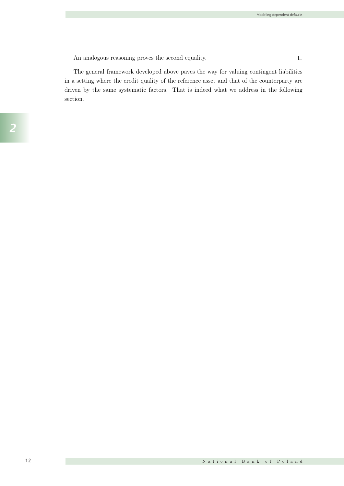$\Box$ 

An analogous reasoning proves the second equality.

The general framework developed above paves the way for valuing contingent liabilities in a setting where the credit quality of the reference asset and that of the counterparty are driven by the same systematic factors. That is indeed what we address in the following section.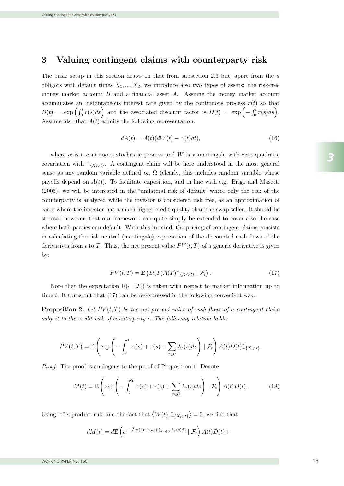#### 3 Valuing contingent claims with counterparty risk

The basic setup in this section draws on that from subsection 2.3 but, apart from the d obligors with default times  $X_1, ..., X_d$ , we introduce also two types of assets: the risk-free money market account  $B$  and a financial asset  $A$ . Assume the money market account accumulates an instantaneous interest rate given by the continuous process  $r(t)$  so that  $B(t) = \exp \left( \int_0^t r(s) ds \right)$  and the associated discount factor is  $D(t) = \exp \left( - \int_0^t r(s) ds \right)$ . Assume also that  $A(t)$  admits the following representation:

$$
dA(t) = A(t)(dW(t) - \alpha(t)dt),
$$
\n(16)

where  $\alpha$  is a continuous stochastic process and W is a martingale with zero quadratic covariation with  $\mathbb{1}_{\{X_i > t\}}$ . A contingent claim will be here understood in the most general sense as any random variable defined on  $\Omega$  (clearly, this includes random variable whose payoffs depend on  $A(t)$ ). To facilitate exposition, and in line with e.g. Brigo and Masetti (2005), we will be interested in the "unilateral risk of default" where only the risk of the counterparty is analyzed while the investor is considered risk free, as an approximation of cases where the investor has a much higher credit quality than the swap seller. It should be stressed however, that our framework can quite simply be extended to cover also the case where both parties can default. With this in mind, the pricing of contingent claims consists in calculating the risk neutral (martingale) expectation of the discounted cash flows of the derivatives from t to T. Thus, the net present value  $PV(t, T)$  of a generic derivative is given by:

$$
PV(t,T) = \mathbb{E}\left(D(T)A(T)\mathbb{1}_{\{X_i > t\}} \mid \mathcal{F}_t\right).
$$
\n(17)

Note that the expectation  $\mathbb{E}(\cdot | \mathcal{F}_t)$  is taken with respect to market information up to time t. It turns out that  $(17)$  can be re-expressed in the following convenient way.

**Proposition 2.** Let  $PV(t,T)$  be the net present value of cash flows of a contingent claim subject to the credit risk of counterparty  $i$ . The following relation holds:

$$
PV(t,T) = \mathbb{E}\left(\exp\left(-\int_t^T \alpha(s) + r(s) + \sum_{\tau \in U} \lambda_\tau(s)ds\right) \mid \mathcal{F}_t\right) A(t)D(t)\mathbb{1}_{\{X_i > t\}}.
$$

Proof. The proof is analogous to the proof of Proposition 1. Denote

$$
M(t) = \mathbb{E}\left(\exp\left(-\int_t^T \alpha(s) + r(s) + \sum_{\tau \in U} \lambda_\tau(s)ds\right) | \mathcal{F}_t\right) A(t)D(t).
$$
 (18)

Using Itô's product rule and the fact that  $\langle W(t), \mathbb{1}_{\{X_i > t\}} \rangle = 0$ , we find that

$$
dM(t) = d\mathbb{E}\left(e^{-\int_t^T \alpha(s) + r(s) + \sum_{\tau \in U} \lambda_\tau(s)ds} \mid \mathcal{F}_t\right)A(t)D(t) +
$$

d(A(t)D(t)), (19)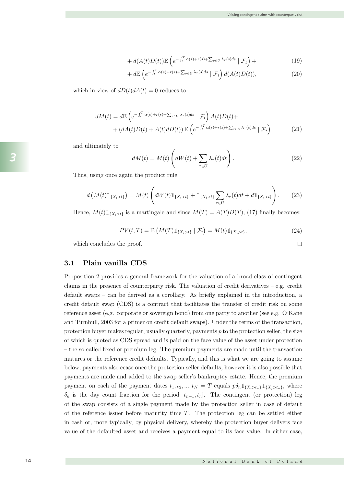$$
+ d(A(t)D(t)) \mathbb{E}\left(e^{-\int_t^T \alpha(s) + r(s) + \sum_{\tau \in U} \lambda_\tau(s)ds} \mid \mathcal{F}_t\right) + \tag{19}
$$

$$
+ d\mathbb{E}\left(e^{-\int_t^T \alpha(s) + r(s) + \sum_{\tau \in U} \lambda_\tau(s)ds} \mid \mathcal{F}_t\right) d(A(t)D(t)),
$$
\nwhich in view of  $dD(t)dA(t) = 0$  reduces to:

\n(20)

payments are made and added to the swap seller's bankruptcy estate. Hence, the premium

 $U$ sing It $\mathcal{U}$ o's product rule and that fact that  $\mathcal{U}$ 

$$
dM(t) = d\mathbb{E}\left(e^{-\int_t^T \alpha(s) + r(s) + \sum_{\tau \in U} \lambda_{\tau}(s)ds} | \mathcal{F}_t\right) A(t)D(t) +
$$
  
+ 
$$
(dA(t)D(t) + A(t)dD(t)) \mathbb{E}\left(e^{-\int_t^T \alpha(s) + r(s) + \sum_{\tau \in U} \lambda_{\tau}(s)ds} | \mathcal{F}_t\right)
$$
(21)

and ultimately to

$$
dM(t) = M(t) \left( dW(t) + \sum_{\tau \in U} \lambda_{\tau}(t) dt \right).
$$
 (22)  
Thus, using once again the product rule,

Thus, using once again the product rule,

$$
d\left(M(t)\mathbb{1}_{\{X_i>t\}}\right) = M(t)\left(dW(t)\mathbb{1}_{\{X_i>t\}} + \mathbb{1}_{\{X_i>t\}}\sum_{\tau\in U}\lambda_{\tau}(t)dt + d\mathbb{1}_{\{X_i>t\}}\right).
$$
 (23)

Hence,  $M(t) \mathbb{1}_{\{X_i > t\}}$  is a martingale and since  $M(T) = A(T)D(T)$ , (17) finally becomes:  $\prod_{\alpha,\beta,\gamma} M(\mu)$  is a really Hence,  $M(t) \mathbb{I}_{\{X_i > t\}}$  is a m Hence,  $M(t) \mathbb{1}_{\{X_i > t\}}$  is a martingale a nce  $M(T) = A(T)D(T)$ , ()

$$
PV(t,T) = \mathbb{E}\left(M(T)\mathbb{1}_{\{X_i > t\}} \mid \mathcal{F}_t\right) = M(t)\mathbb{1}_{\{X_i > t\}},\tag{24}
$$
 which concludes the proof.

which concludes the proof.  $\hfill \square$ 3.1 Plain vanilla CDS  $\mathcal{L}$  is a contract that facilitates that facilitates that facilitates the transfer of credit risk on some  $\blacksquare$ 

3.1 Plain vanilla CDS Proposition 2 provides a general framework for the valuation of a broad class of contingent reference asset (e.g. corporate or sovereign bond) from one party to another (see e.g. O'Kane and Turnbull, 2003 for a primer on credit default swaps). Under the terms of the transaction, default swaps – can be derived as a corollary. As briefly explained in the introduction, a claims in the presence of counterparty risk. The valuation of credit derivatives – e.g. creditdefault swaps – can be derived as a corollary. As briefly explained in the introduction, a credit default swap (CDS) is a contract that facilitates the transfer of credit risk on some default swaps – can be derived as a corollary. As briefly explained in the introduction, a credit default swap (CDS) is a contract that facilitates the transfer of credit risk on some Proposition 3. Let name i (with default time Xi) be the issuer of a risky bond, j (with

Proposition 2 provides a general framework for the valuation of a broad class of contingent claims in the presence of counterparty risk. The valuation of credit derivatives  $-$  e.g. credit claims in the presence of counterparty risk. The valuation of credit derivatives – e.g. credit default swaps – can be derived as a corollary. As briefly explained in the introduction, a credit default swap (CDS) is a contract that facilitates the transfer of credit risk on some reference asset (e.g. corporate or sovereign bond) from one party to another (see e.g.  $O'$ Kane and Turnbull, 2003 for a primer on credit default swaps). Under the terms of the transaction, protection buyer makes regular, usually quarterly, payments  $p$  to the protection seller, the size of which is quoted as CDS spread and is paid on the face value of the asset under protection  $-$  the so called fixed or premium leg. The premium payments are made until the transaction matures or the reference credit defaults. Typically, and this is what we are going to assume payment on each of the payment dates  $t_1, t_2, ..., t_N = T$  equals  $p\delta_n \mathbb{1}_{\{X_i > t_n\}} \mathbb{1}_{\{X_j > t_n\}}$ , where had this is what we are going to assume below, payments also cease once the protection seller defaults, however it is also possible that  $\cdot$ and Turnbull, 2003 for a primer on credit default swaps). Under the terms of the transaction,  $\overline{1}$ d or premium leg. The premium pay payments are made and added to the swap seller's bankruptcy estate. Hence, the premium  $\delta_n$  is the day count fraction for the period  $[t_{n-1}, t_n]$ . The contingent (or protection) leg of the swap consists of a single payment made by the protection seller in case of default of the reference issuer before maturity time T. The protection leg can be settled either in cash or, more typically, by physical delivery, whereby the protection buyer delivers face value of the defaulted asset and receives a payment equal to its face value. In either case, Proposition 2 provides a general framework for the valuation of a broad class of contingent<br>claims in the presence of coupterparty right. The relation of each derivatives set and R  $\alpha$  is definite  $\alpha$  is dependent value of the network of the contribution buyer is given by: on credit default swaps). Under the terms  $\mu$ iuoted as CDS spread makes regular, usually quarterly, payments  $p$  to the problem and is paid on the face value of the asset under protection  $T_{\text{tot}}$  is found by spread (premium) is found by setting the value of the contract of the contract of the contract of the contract of the contract of the contract of the contract of the contract of the contract of the c at inception to zero, i.e.  $\frac{1}{2}$  = 0. Note that although the CDS(0, T) = 0. Note that although the CDS value  $\frac{1}{2}$  = 0. Note that although the CDS value of  $\frac{1}{2}$  = 0. Note that although the CDS value of  $\frac{1}{$ given above features as constant recovery rate, it can be easily generalized for stochastic generalized for stochastic direction of  $\sigma$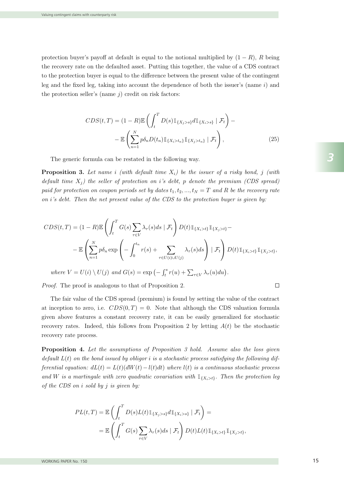protection buyer's payoff at default is equal to the notional multiplied by  $(1 - R)$ , R being the recovery rate on the defaulted asset. Putting this together, the value of a CDS contract to the protection buyer is equal to the difference between the present value of the contingent leg and the fixed leg, taking into account the dependence of both the issuer's (name  $i$ ) and the protection seller's (name  $j$ ) credit on risk factors:

$$
CDS(t,T) = (1 - R)\mathbb{E}\left(\int_t^T D(s)\mathbb{1}_{\{X_j > s\}}d\mathbb{1}_{\{X_i > s\}} \mid \mathcal{F}_t\right) - \mathbb{E}\left(\sum_{n=1}^N p\delta_n D(t_n)\mathbb{1}_{\{X_i > t_n\}}\mathbb{1}_{\{X_j > t_n\}} \mid \mathcal{F}_t\right),
$$
\n(25)

The generic formula can be restated in the following way.

**Proposition 3.** Let name i (with default time  $X_i$ ) be the issuer of a risky bond, j (with default time  $X_i$ ) the seller of protection on i's debt, p denote the premium (CDS spread) paid for protection on coupon periods set by dates  $t_1, t_2, ..., t_N = T$  and R be the recovery rate on  $i$ 's debt. Then the net present value of the CDS to the protection buyer is given by:

$$
CDS(t,T) = (1 - R)\mathbb{E}\left(\int_t^T G(s) \sum_{\tau \in V} \lambda_\tau(s)ds \mid \mathcal{F}_t\right) D(t)\mathbb{1}_{\{X_i > t\}}\mathbb{1}_{\{X_j > t\}} - \mathbb{E}\left(\sum_{n=1}^N p\delta_n \exp\left(-\int_0^{t_n} r(s) + \sum_{\tau \in U(i) \cup U(j)} \lambda_\tau(s)ds\right) \mid \mathcal{F}_t\right) D(t)\mathbb{1}_{\{X_i > t\}}\mathbb{1}_{\{X_j > t\}},
$$
  
where  $V = U(i) \setminus U(j)$  and  $G(s) = \exp(-\int_t^s r(u) + \sum_{\tau \in V} \lambda_\tau(u)du).$ 

Proof. The proof is analogous to that of Proposition 2.

The fair value of the CDS spread (premium) is found by setting the value of the contract at inception to zero, i.e.  $CDS(0,T) = 0$ . Note that although the CDS valuation formula given above features a constant recovery rate, it can be easily generalized for stochastic recovery rates. Indeed, this follows from Proposition 2 by letting  $A(t)$  be the stochastic recovery rate process.

**Proposition 4.** Let the assumptions of Proposition 3 hold. Assume also the loss given default  $L(t)$  on the bond issued by obligor i is a stochastic process satisfying the following differential equation:  $dL(t) = L(t)(dW(t)-l(t)dt)$  where  $l(t)$  is a continuous stochastic process and W is a martingale with zero quadratic covariation with  $\mathbb{1}_{\{X_i > t\}}$ . Then the protection leg of the CDS on  $i$  sold by  $j$  is given by:

$$
PL(t,T) = \mathbb{E}\left(\int_t^T D(s)L(t)\mathbb{1}_{\{X_j>s\}}d\mathbb{1}_{\{X_i>s\}}\mid \mathcal{F}_t\right) =
$$
  
= 
$$
\mathbb{E}\left(\int_t^T G(s)\sum_{\tau\in V} \lambda_\tau(s)ds \mid \mathcal{F}_t\right)D(t)L(t)\mathbb{1}_{\{X_i>t\}}\mathbb{1}_{\{X_j>t\}},
$$

 $\Box$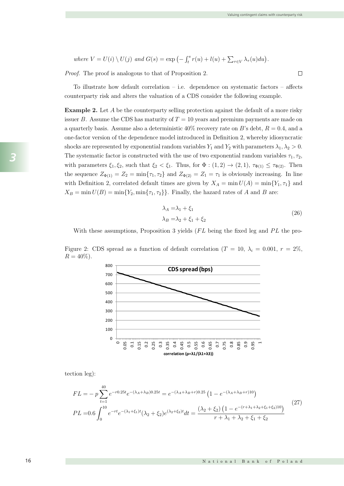$\Box$ 

where 
$$
V = U(i) \setminus U(j)
$$
 and  $G(s) = \exp(-\int_t^s r(u) + l(u) + \sum_{\tau \in V} \lambda_{\tau}(u) du)$ .

Proof. The proof is analogous to that of Proposition 2.

To illustrate how default correlation – i.e. dependence on systematic factors – affects counterparty risk and alters the valuation of a CDS consider the following example.

Example 2. Let A be the counterparty selling protection against the default of a more risky issuer B. Assume the CDS has maturity of  $T = 10$  years and premium payments are made on a quarterly basis. Assume also a deterministic  $40\%$  recovery rate on B's debt,  $R = 0.4$ , and a one-factor version of the dependence model introduced in Definition 2, whereby idiosyncratic shocks are represented by exponential random variables  $Y_1$  and  $Y_2$  with parameters  $\lambda_1, \lambda_2 > 0$ . The systematic factor is constructed with the use of two exponential random variables  $\tau_1, \tau_2$ , with parameters  $\xi_1, \xi_2$ , such that  $\xi_2 < \xi_1$ . Thus, for  $\Phi : (1, 2) \to (2, 1)$ ,  $\tau_{\Phi(1)} \leq \tau_{\Phi(2)}$ . Then the sequence  $Z_{\Phi(1)} = Z_2 = \min\{\tau_1, \tau_2\}$  and  $Z_{\Phi(2)} = Z_1 = \tau_1$  is obviously increasing. In line with Definition 2, correlated default times are given by  $X_A = \min U(A) = \min \{Y_1, \tau_1\}$  and  $X_B = \min U(B) = \min\{Y_2, \min\{\tau_1, \tau_2\}\}\.$  Finally, the hazard rates of A and B are:

$$
\lambda_A = \lambda_1 + \xi_1
$$
  
\n
$$
\lambda_B = \lambda_2 + \xi_1 + \xi_2
$$
\n(26)

With these assumptions, Proposition 3 yields  $(FL$  being the fixed leg and  $PL$  the proand the state of the state of the state

Figure 2: CDS spread as a function of default correlation  $(T = 10, \lambda_i = 0.001, r = 2\%, \lambda_i = 0.001)$  $R = 40\%).$ 



tection leg):  $\frac{1}{2}$ .

$$
FL = -p \sum_{t=1}^{40} e^{-r0.25t} e^{-(\lambda_A + \lambda_B)0.25t} = e^{-(\lambda_A + \lambda_B + r)0.25} \left(1 - e^{-(\lambda_A + \lambda_B + r)10}\right)
$$
  
\n
$$
PL = 0.6 \int_0^{10} e^{-rt} e^{-(\lambda_1 + \xi_1)t} (\lambda_2 + \xi_2) e^{(\lambda_2 + \xi_2)t} dt = \frac{(\lambda_2 + \xi_2) \left(1 - e^{-(r + \lambda_1 + \lambda_2 + \xi_1 + \xi_2)10}\right)}{r + \lambda_1 + \lambda_2 + \xi_1 + \xi_2}
$$
\n(27)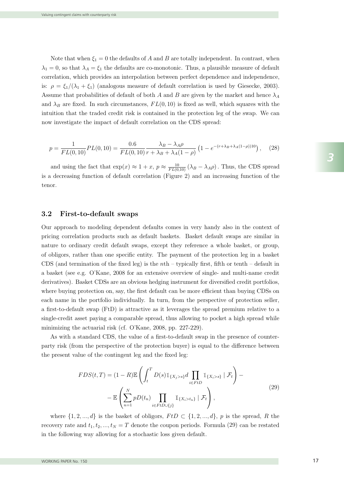Note that when  $\xi_1 = 0$  the defaults of A and B are totally independent. In contrast, when  $\lambda_1 = 0$ , so that  $\lambda_A = \xi_1$  the defaults are co-monotonic. Thus, a plausible measure of default correlation, which provides an interpolation between perfect dependence and independence, is:  $\rho = \xi_1/(\lambda_1 + \xi_1)$  (analogous measure of default correlation is used by Giesecke, 2003). Assume that probabilities of default of both A and B are given by the market and hence  $\lambda_A$ and  $\lambda_B$  are fixed. In such circumstances,  $FL(0, 10)$  is fixed as well, which squares with the intuition that the traded credit risk is contained in the protection leg of the swap. We can now investigate the impact of default correlation on the CDS spread:

$$
p = \frac{1}{FL(0, 10)} PL(0, 10) = \frac{0.6}{FL(0, 10)} \frac{\lambda_B - \lambda_A \rho}{r + \lambda_B + \lambda_A (1 - \rho)} \left( 1 - e^{-(r + \lambda_B + \lambda_A (1 - \rho))10} \right), \quad (28)
$$

and using the fact that  $\exp(x) \approx 1 + x$ ,  $p \approx \frac{10}{FL(0,10)} (\lambda_B - \lambda_A \rho)$ . Thus, the CDS spread is a decreasing function of default correlation (Figure 2) and an increasing function of the tenor.  $p = \frac{1}{FL(0, 10)} PL(0, 10) = \frac{0.5}{FL(0, 10)} \frac{\lambda_B}{r + \lambda_B + \lambda_A (1 - \rho)} \left( 1 - e^{-(r + \lambda_B + \lambda_A (1 - \rho))10} \right),$  (28)<br>and using the fact that  $\exp(x) \approx 1 + x$ ,  $p \approx \frac{10}{FL(0, 10)} (\lambda_B - \lambda_A \rho)$ . Thus, the CDS spread,<br>decreasing function of default c  $r_{\text{enor}}$ .  $\frac{3}{3}$  and using the ract that  $\exp(\frac{3}{3}t)$  $\alpha$  final application, we show that  $\alpha$ 

#### 3.2 First-to-default swaps  $\mathcal{P}$  Proposition 5. Using the notation and assumption assumptions introduced above, the net present value value value  $\mathcal{P}$  $2.2$  First to default supper context also by Jamshidian, 2004). A credit default swaption may be thought of as an 3.3 Default swaptions

Our approach to modeling dependent defaults comes in very handy also in the context of pricing correlation products such as default baskets. Basket default swaps are similar in<br>patterns to ordinary englished default cursos, except they reference a whole health on group nature to ordinary credit default swaps, except they reference a whole basket, or group, of obligors, rather than one specific entity. The payment of the protection leg in a basket CDS (and termination of the fixed leg) is the *n*th – typically first, fifth or tenth – default in<br>  $\alpha$  hecket (see  $\alpha \pi$ ,  $Q'$ Kane, 2008 for an extensive systemic of single, and multi-name enditi ODS (and termination of the fixed leg) is the *h*th – typically lifst, inth of tenth – default in a basket (see e.g. O'Kane, 2008 for an extensive overview of single- and multi-name credit derivatives). Basket CDSs are an obvious hedging instrument for diversified credit portfolios, where buying protection on, say, the first default can be more efficient than buying CDSs on each name in the portfolio individually. In turn, from the perspective of protection seller, a first-to-default swap (FtD) is attractive as it leverages the spread premium relative to a single-credit asset paying a comparable spread, thus allowing to pocket a high spread while minimizing the actuarial risk (cf. O'Kane, 2008, pp. 227-229).  $\epsilon_{\rm{DS}}$  (and termination of the fixed leg) is the  $n_{\rm{H}}$  – typically first, fifth or tenth – default in a basket (see e.g. O'Kane, 2008 for an extensive overview of single- and multi-name credit  $rac{1}{2}$ CDS (and termination of the fixed leg) is the  $n\text{th}$  – typically first, fifth or tenth – default in derivatives). Basket CDSs are an obvious nedging instrument for diversified credit portfolios, a first-to-default swap (FtD) is attractive as it leverages the spread premium relative to a

As with a standard CDS, the value of a first-to-default swap in the presence of counterparty risk (from the perspective of the protection buyer) is equal to the difference between the present value of the contingent leg and the fixed leg:

$$
FDS(t,T) = (1 - R)\mathbb{E}\left(\int_{t}^{T} D(s)\mathbb{1}_{\{X_{j}>s\}}d\prod_{i\in FtD}\mathbb{1}_{\{X_{i}>s\}}\mid \mathcal{F}_{t}\right) - \mathbb{E}\left(\sum_{n=1}^{N} pD(t_{n})\prod_{i\in FtD\cup\{j\}}\mathbb{1}_{\{X_{i}>t_{n}\}}\mid \mathcal{F}_{t}\right),
$$
\n(29)

where  $\{1, 2, ..., d\}$  is the basket of obligors,  $F$ t $D \subset \{1, 2, ..., d\}$ , p is the spread, R the recovery rate and  $t_1, t_2, ..., t_N = T$  denote the coupon periods. Formula (29) can be restated in the following way allowing for a stochastic loss given default.  $t, t, t, \ldots, t$ <br>  $t_N = T$  denote the coupon periods. Formula (29)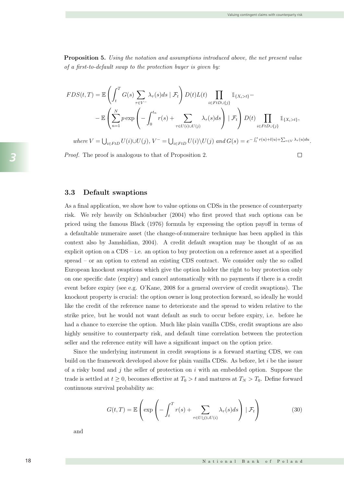Proposition 5. Using the notation and assumptions introduced above, the net present value of a first-to-default swap to the protection buyer is given by:

$$
FDS(t,T) = \mathbb{E}\left(\int_t^T G(s) \sum_{\tau \in V^-} \lambda_\tau(s)ds \mid \mathcal{F}_t\right) D(t)L(t) \prod_{i \in FtD \cup \{j\}} 1_{\{X_i > t\}} - \mathbb{E}\left(\sum_{n=1}^N p \exp\left(-\int_0^{t_n} r(s) + \sum_{\tau \in U(i) \cup U(j)} \lambda_\tau(s)ds\right) \mid \mathcal{F}_t\right) D(t) \prod_{i \in FtD \cup \{j\}} 1_{\{X_i > t\}},
$$

where  $V = \bigcup_{i \in FtD} U(i) \cup U(j)$ ,  $V^- = \bigcup_{i \in FtD} U(i) \setminus U(j)$  and  $G(s) = e^{-\int_s^s r(u) + l(u) + \sum_{\tau \in V} \lambda_{\tau}(u) du}$ .

*Proof.* The proof is analogous to that of Proposition 2.  $\Box$ 

#### 3.3 Default swaptions context also by James and the thought of as an extended of as an extended of as an extended of as an extended of as an extended of as an extended of as an extended of as an extended of as an extended

As a final application, we show how to value options on CDSs in the presence of counterparty risk. We rely heavily on Schönbucher (2004) who first proved that such options can be priced using the famous Black (1976) formula by expressing the option payoff in terms of a defaultable numeraire asset (the change-of-numeraire technique has been applied in this context also by Jamshidian, 2004). A credit default swaption may be thought of as an explicit option on a  $CDS - i.e.$  an option to buy protection on a reference asset at a specified  $s$  pread – or an option to extend an existing CDS contract. We consider only the so called European knockout swaptions which give the option holder the right to buy protection only on one specific date (expiry) and cancel automatically with no payments if there is a credit  $\frac{1}{\sqrt{2}}$ event before expiry (see e.g. O'Kane, 2008 for a general overview of credit swaptions). The knockout property is crucial: the option owner is long protection forward, so ideally he would like the credit of the reference name to deteriorate and the spread to widen relative to the strike price, but he would not want default as such to occur before expiry, i.e. before he had a chance to exercise the option. Much like plain vanilla CDSs, credit swaptions are also<br>trade is settled at the counterparty right and default time counclation between the protection highly sensitive to counterparty risk, and default time correlation between the protection seller and the reference entity will have a significant impact on the option price. explicit option on a CDS – i.e. an option to buy protection on a reference asset at a specified at a specified at a specified at a specified at a specified at a specified at a specified at a specified at a specified at a spread approached, we show now to value options on ODSs in the presence of counterparty

Since the underlying instrument in credit swaptions is a forward starting CDS, we can build on the framework developed above for plain vanilla CDSs. As before, let  $i$  be the issuer of a risky bond and j the seller of protection on i with an embedded option. Suppose the trade is settled at  $t \geq 0$ , becomes effective at  $T_0 > t$  and matures at  $T_N > T_0$ . Define forward continuous survival probability as:  $\frac{1}{2}$  and  $\frac{1}{2}$  is  $\frac{1}{2}$  in  $\frac{1}{2}$  in  $\frac{1}{2}$  in  $\frac{1}{2}$  in  $\frac{1}{2}$  in  $\frac{1}{2}$  in  $\frac{1}{2}$  in  $\frac{1}{2}$  in  $\frac{1}{2}$  in  $\frac{1}{2}$  in  $\frac{1}{2}$  in  $\frac{1}{2}$  in  $\frac{1}{2}$  in  $\frac{1}{2}$  in  $\frac{1}{2}$  in

$$
G(t,T) = \mathbb{E}\left(\exp\left(-\int_t^T r(s) + \sum_{\tau \in U(j) \cup U(i)} \lambda_\tau(s)ds\right) \mid \mathcal{F}_t\right)
$$
(30)

and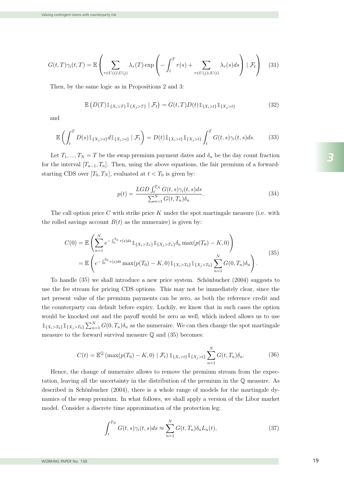$$
G(t,T)\gamma_i(t,T) = \mathbb{E}\left(\sum_{\tau \in U(i)\setminus U(j)} \lambda_\tau(T) \exp\left(-\int_t^T r(s) + \sum_{\tau \in U(j)\cup U(i)} \lambda_\tau(s)ds\right) | \mathcal{F}_t\right) \tag{31}
$$

Then, by the same logic as in Propositions 2 and 3: then, by the same logic as in Propositions 2 and 3:  $f(x) = f(x)$ ,  $f(x) = f(x)$ ,  $f(x) = f(x)$ ,  $f(x) = f(x)$ , the fair premium of a formula  $f(x)$  $T$ nen, by the sa

$$
\mathbb{E}\left(D(T)\mathbb{1}_{\{X_i>T\}}\mathbb{1}_{\{X_j>T\}}\mid \mathcal{F}_t\right) = G(t,T)D(t)\mathbb{1}_{\{X_i>t\}}\mathbb{1}_{\{X_j>t\}}
$$
(32)  
and

and  $\overline{\mathcal{X}}$ and  $\sum_{i=1}^{\infty}$  $\text{and}$  $\mathop{\rm and}\nolimits$ 

$$
\mathbb{E}\left(\int_t^T D(s)\mathbb{1}_{\{X_s>s\}}d\mathbb{1}_{\{X_s>s\}}\mid \mathcal{F}_t\right) = D(t)\mathbb{1}_{\{X_s>t\}}\mathbb{1}_{\{X_j>t\}}\int_t^T G(t,s)\gamma_i(t,s)ds.
$$
 (33)

Let  $T_1, ..., T_N = T$  be the swap premium payment dates and  $\delta_n$  be the day count fraction<br>for the interval  $[T - T]$ . Then, using the shore equations, the fair promium of a forward for the interval  $[T_{n-1}, T_n]$ . Then, using the above equations, the fair premium of a forwardstarting CDS over  $[T_0, T_N]$ , evaluated at  $t < T_0$  is given by:<br> $LGD \xrightarrow{TN} G(t, s)$ ,  $(t, s)$ ,  $(t, s)$ the rolled samples and  $\sigma_n$  be the day count Haction<br>for the interval  $[T_{n-1}, T_n]$ . Then, using the above equations, the fair premium of a forward- $\frac{1}{2}$ n=1  $[T_0, T_n]$ . Then, using the above equations, the fair premium of a  $[T_0, T_{N}]$  evaluated at  $t < T_0$  is given by:  $CDC$ for the interval  $\lfloor t_{n-1}, t \rfloor$ <br>starting CDS over  $[T_0, T_0]$  ${\bf f}$ arting OD<sub>2</sub> over  $T_N$ , evaluated at  $t < T_0$  is giv

$$
p(t) = \frac{LGD \int_t^{T_N} G(t, s) \gamma_i(t, s) ds}{\sum_{n=1}^N G(t, T_n) \delta_n}.
$$
\n(34)

The call option price C with strike price K under the spot martingale measure (i.e. with  $\sum_{n=1}^{\infty} \sum_{k=1}^{\infty}$ ) the rolled savings account  $B(t)$  as the numeraire) is given by: The call option price C with strike price A under the spot martingale measure (i.e. with<br>the rolled savings account  $B(t)$  as the numeraire) is given by: The call option price  $C$  with strike price  $K$  under the spot martingale measure (i.e. with

$$
C(0) = \mathbb{E}\left(\sum_{n=1}^{N} e^{-\int_{0}^{T_n} r(s)ds} \mathbb{1}_{\{X_i > T_n\}} \mathbb{1}_{\{X_j > T_n\}} \delta_n \max(p(T_0) - K, 0)\right)
$$
  
= 
$$
\mathbb{E}\left(e^{-\int_{0}^{T_0} r(s)ds} \max(p(T_0) - K, 0) \mathbb{1}_{\{X_i > T_0\}} \mathbb{1}_{\{X_j > T_0\}} \sum_{n=1}^{N} G(0, T_n) \delta_n\right).
$$
 (35)

To handle (35) we shall introduce a new price system. Schönbucher (2004) suggests to use the fee stream for pricing CDS options. This may not be immediately clear, since the net present value of the premium payments can be zero, as both the reference credit and the counterparty can default before expiry. Luckily, we know that in such cases the option would be knocked out and the payoff would be zero as well, which indeed allows us to use  ${X_i > T_0}$   $\mathbb{1}_{\{X_j > T_0\}} \sum_{n=1}^N G(0, T_n) \delta_n$  as the numeraire. We can then change the spot martingale measure to the forward survival measure  $\mathbb Q$  and  $(35)$  becomes: would be known the payoff would be the payoff would be payoff would be a substitute of the payoff would be used as well, which indeed a line of the use of the use of the use of the use of the use of the use of the use of t net present value of the premium payments can be zero, as both the reference credit and  $\mathbb{1}_{\{X_i > T_0\}} \mathbb{1}_{\{X_j > T_0\}} \sum_{n=1}^N G(0, T_n) \delta_n$  as the numeraire. We can then change the spot martingale To handle  $(35)$  we shall introduce a new price system. Schönbucher  $(2004)$  suggests to measure to the forward survival measure  $\mathbb{Q}$  and (35) becomes:  $\mathcal{L}$  the swap premium. In what follows, we shall apply a version of the Libor market matrix  $\mathcal{L}$ measure to the forward survival measure  $\mathbb Q$  and  $(35)$  becomes: the counterparty can default before expiry. Luckily, we know that in such cases the option<br>would be knocked out and the payoff would be zero as well, which indeed allows us to use

$$
C(t) = \mathbb{E}^{\mathbb{Q}}(\max(p(T_0) - K, 0) | \mathcal{F}_t) \mathbb{1}_{\{X_i > t\}} \mathbb{1}_{\{X_j > t\}} \sum_{n=1}^N G(t, T_n) \delta_n.
$$
 (36)

Hence, the change of numeraire allows to remove the premium stream from the expectation, leaving all the uncertainty in the distribution of the premium in the Q measure. As described in Schönbucher  $(2004)$ , there is a whole range of models for the martingale dythe sum of the swap premium. In what follows, we shall apply a version of the Libor market that the swap premium. In what follows, we shall apply a version of the Libor market model. Consider a discrete time approximation of the protection leg: Hence, the change of numeraire allows to remove the premium stream from the expec-The change of numerative anows to remove the premium stream from the expec-<br>tation leaving all the uncertainty in the distribution of the premium in the  $\mathbb{O}$  measure. As  $\,$  model. Consider a discrete time approximation of  $\,$  th  $\,$ Hence, the cha

$$
\int_{t}^{T_N} G(t,s)\gamma_i(t,s)ds \approx \sum_{n=1}^{N} G(t,T_n)\delta_n L_n(t),\tag{37}
$$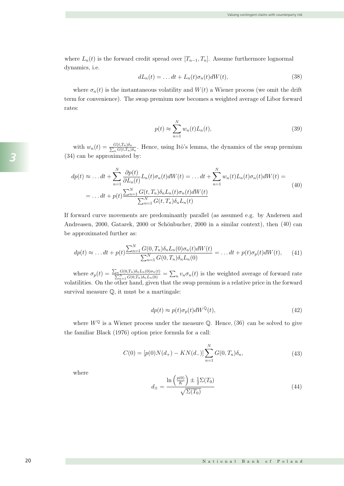where  $L_n(t)$  is the forward credit spread over  $[T_{n-1}, T_n]$ . Assume furthermore lognormal dynamics, i.e.  $\begin{pmatrix} - & dt \end{pmatrix}$  $\lfloor n_{n-1}, n \rfloor$ . Assume furthermore lognormal  $\frac{1}{2}$   $\frac{1}{2}$ where  $L_n(t)$  is the forward credit spread over  $[T_{n-1}, T_n]$ . Assume furthermore lognormal when, when we the swap premium payment of  $\mathbf{w}$  be the swap premium payment of  $\mathbf{w}$  be the data fraction  $\mathbf{w}$  be the data fraction  $\mathbf{w}$  be the data fraction  $\mathbf{w}$  be the data fraction of  $\mathbf{w}$  be the d  $dyn$  $t$ erm for convenience). The swap premium now becomes a weight  $\epsilon$ 

namics of the swap premium. In what follows, we shall apply a version of the Libor market

$$
dL_n(t) = \dots dt + L_n(t)\sigma_n(t)dW(t),
$$
\n(38)

where  $\sigma_n(t)$  is the instantaneous volatility and  $W(t)$  a Wiener process (we omit the drift term for convenience). The swap premium now becomes a weighted average of Libor forward rates:  $\frac{3}{2}$  can be approximated by:  $\cos$  .  $\ddot{\phantom{1}}$ example  $\sigma_n(t)$  is the instantaneous volatility and  $W(t)$  a Wiener process (we omit the drift  $\omega$  $\frac{1}{\sqrt{2}}$ the instantaneous volatility and  $W(t)$  a Wiener pro  $m<sup>1</sup>$ The call option price C with strike price C with strike price K under the spot matrix  $\mathcal{L}$  with  $\mathcal{L}$  with  $\mathcal{L}$  with  $\mathcal{L}$  with  $\mathcal{L}$  with  $\mathcal{L}$  with  $\mathcal{L}$  with  $\mathcal{L}$  with  $\mathcal{L}$  with  $\mathcal{L}$  w

$$
p(t) \approx \sum_{n=1}^{N} w_n(t) L_n(t),
$$
\n(39)  
\n
$$
w_n(t) = \frac{G(t, T_n)\delta_n}{\sum_{n=1}^{N} W_n(t)}.
$$
 Hence, using Itô's lemma, the dynamics of the swap premium

with  $w_n(t) = \frac{G(t,T_n)\delta_n}{\sum_n G(t,T_n)\delta_n}$ . Hence, using Itô's lemma, the dynamics of the swap premium (33) can be approximated by:  $\sum_{t=1}^{t} (t) = \frac{G(t, t)}{2}$ . Hence, using Itô's  $\text{Id}$  $w_n(t) = \frac{G(t,T_n)\delta_n}{\sum G(t,T_n)\delta_n}$ . Hence, using Itô's le  $(54)$  can be approximated by: with  $w_n(t) = \frac{\sum_{i=1}^{n} C(t,T_n) \delta_n}{\sum_{i=1}^{n} C(t,T_n) \delta_n}$ . Hence, using Itô's lemma, the dynamics of the swap premium  $(34)$  can be approximated by:  $(34)$  can be approximated by:  $\sum_{n=0}^{\infty}$  $\frac{n}{\beta_1 T_n \beta_0 n}$ . Hence, using Itô's lemma.  $y:$ with  $w_n(t) = \frac{G(t,T_n)\delta_n}{\sum_{i=1}^n \sigma_i}$ . Hence, using Itô's lemma, the dynamics of the swap premium  $n_{\alpha}$ ∂p(t)  $\frac{\sum_{n} \delta_n}{\sum_{t} \sum_{n} \delta_n}$ . Hence, using Itô's lemma, the tynamics of the swap pro  $\text{red } \text{by}:$  $(34)$  can be approximated by: with  $w_n(t) = \frac{1}{2}$ pro  $G(t,T_n)$  $\frac{G(t,T_n)\delta_n}{\sum_n G(t,T_n)\delta_n}$ . Hence, using Itô's lemma, the dynamics of the swap (34) can be approximated by:  $\ddot{\phantom{0}}$ mics

$$
dp(t) \approx \dots dt + \sum_{n=1}^{N} \frac{\partial p(t)}{\partial L_n(t)} L_n(t) \sigma_n(t) dW(t) = \dots dt + \sum_{n=1}^{N} w_n(t) L_n(t) \sigma_n(t) dW(t) =
$$
  

$$
= \dots dt + p(t) \frac{\sum_{n=1}^{N} G(t, T_n) \delta_n L_n(t) \sigma_n(t) dW(t)}{\sum_{n=1}^{N} G(t, T_n) \delta_n L_n(t)}
$$
(40)

If forward curve movements are predominantly parallel (as assumed e.g. by Andersen and Andreasen, 2000, Gatarek, 2000 or Schönbucher, 2000 in a similar context), then (40) can be approximated further as:  $\mathbf{s}$ If forward curve movements are predominantly parallel (as assumed e.g. by Andersen and<br>Andreasen, 2000, Gatarek, 2000 or Schönbucher, 2000 in a similar context), then (40) can brward curve movements are predominantly parallel (as assumed e.g. by Andersen and Andreasen, 2000, Gatarek, 2000 or Schönbucher, 2000 in a similar context), then (40) can  $\mathbf{r}$  counterparty. Lucking that in such cases that in such cases that in such cases that in such cases the option of  $\mathbf{r}$ where the payoff would be the payoff would be  $\frac{1}{\sqrt{2}}$  which indeed allows use to use to use to use to use to use to use to use to use to use to use to use to use to use to use to use to use to use to use to use to us  $rac{1}{\log n}$ Andreasen, 2000, Gatarek, 2000 or Schönbucher, 2000 in a similar context), then  $(40)$ where  $\mathbf{r} \in \mathcal{C}$  we let an as well, which indeed allows use to use to use to use to use to use to use to use to use to use to use to use to use to use to use to use to use to use to use to use to use to use to use t  $\frac{1}{2}$  becomes in the formula measure  $\frac{1}{2}$ 

$$
dp(t) \approx \dots dt + p(t) \frac{\sum_{n=1}^{N} G(0, T_n) \delta_n L_n(0) \sigma_n(t) dW(t)}{\sum_{n=1}^{N} G(0, T_n) \delta_n L_n(0)} = \dots dt + p(t) \sigma_p(t) dW(t), \quad (41)
$$

where  $\sigma_p(t) = \frac{\sum_n G(0,T_n)\delta_n L_n(0)\sigma_n(t)}{\sum_{n=1}^N G(0,T_n)\delta_n L_n(0)} = \sum_n v_n \sigma_n(t)$  is the weighted average of forward rate volatilities. On the other hand, given that the swap premium is a relative price in the forward  $\alpha$  is and  $\alpha$  of the scalar mand, given that the swap premium is a relative price in the formula survival measure  $\mathbb Q$ , it must be a martingale: where  $\sigma_n(t) = \frac{\sum_n G(0,T_n)\delta_n L_n(0)\sigma_n(t)}{n} = \sum_{n=0}^{\infty} \sigma_n(t)$  is the weighted average of forward rate  $\sum_{n=1}^{\infty} \alpha(n,m,n,n)$  option price formulation prices for the call  $\alpha$  calls for a call  $\alpha$  calls for a call  $\alpha$  $\nabla_{\alpha} G(\alpha T)$  is a  $K(\alpha)$  can be solved to give where  $\sigma_p(t) = \frac{\sum_{n=1}^{n} G(0,T_n) \delta_n L_n(0)}{\sum_{n=1}^{N} G(0,T_n) \delta_n L_n(0)} = \sum_n v_n \sigma_n(t)$  is the survival measure  $\mathbb{Q},$  it must be a martingale:  $\sum_{n=1}^{\infty} G(0, t_n) o_n L_n(0)$ <br>er hand, given that the swap premiu din is a relative price in the forward where  $\sigma_p(t) = \frac{\sum_{n=1}^{n} G(0,T_n) \delta_n L_n(t)}{\sum_{n=1}^{N} G(0,T_n) \delta_n L_n(0)} = \sum_n v_n \sigma_n(t)$  is the  $\sigma_n(t)$   $\sum$   $(y, t)$   $(1, t)$   $(c, t)$ where  $\sigma_p(t) = \frac{\sum_{n=1}^{N} G(0,T_n)\delta_n L_n(0)}{\sum_{n=1}^{N} G(0,T_n)\delta_n L_n(0)} = \sum_n n_n \sigma_n(t)$  is the weighted average of forward rate  $\overline{t}$ tation, leaving all the uncertainty in the uncertainty in the premium in the premium in the premium in the pre<br>the premium in the premium in the premium in the premium in the premium in the premium in the premium in the p surv  $d$ , given that the swap premium is a relative price in the form where  $\sigma_p(t) = \frac{2n}{\sum_{n=1}^N G(0,T_n)\delta_n L_n(0)} = \sum_n v_n \sigma_n(t)$  is the weighted a volatilities. On the other hand, given that the swap premium is a relati

$$
dp(t) \approx p(t)\sigma_p(t)dW^{\mathbb{Q}}(t),\tag{42}
$$

where  $W^{\mathbb{Q}}$  is a Wiener process under the measure  $\mathbb{Q}$ . Hence, (36) can be solved to give where  $W = \mathcal{L}$  where process and the measure  $\mathcal{L}$ . Hence,  $(\mathcal{L})$  can be served to give the familiar Black (1976) option price formula for a call:  $\alpha$  for a call: Wiener process under the measure  $\mathbb{Q}$ . Hence,  $(36)$  can be solved to give the familiar Black  $(1976)$  option price formula for a call:  $Q.$  Hence, (36) can be solved to where  $W^{\mathbb{Q}}$  is a Wiener process under the measure  $\mathbb{Q}$ . Hence, (36)

$$
C(0) = [p(0)N(d_{+}) - KN(d_{-})] \sum_{n=1}^{N} G(0, T_{n}) \delta_{n}, \qquad (43)
$$

where

dynamics, i.e.

dynamics, i.e.

dynamics, i.e.

$$
d_{\pm} = \frac{\ln\left(\frac{p(0)}{K}\right) \pm \frac{1}{2}\Sigma(T_0)}{\sqrt{\Sigma(T_0)}}
$$
\n(44)

 $X \times T$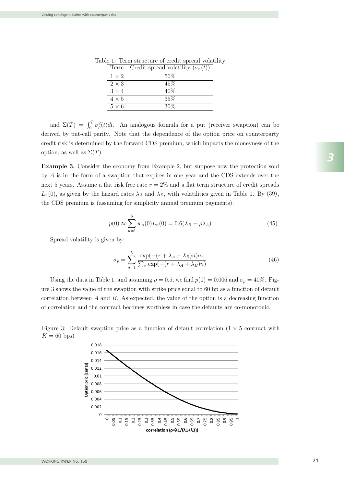| 50%<br>$1 \times 2$<br>$\overline{45\%}$<br>$2 \times 3$<br>40%<br>$3 \times 4$<br>35%<br>$4 \times 5$<br>30%<br>$5 \times 6$ | Term   Credit spread volatility $(\sigma_n(t))$ |
|-------------------------------------------------------------------------------------------------------------------------------|-------------------------------------------------|
|                                                                                                                               |                                                 |
|                                                                                                                               |                                                 |
|                                                                                                                               |                                                 |
|                                                                                                                               |                                                 |
|                                                                                                                               |                                                 |

Table 1: Term structure of credit spread volatility  $\overline{\phantom{a}}$ d volatility  $\frac{1}{1}$ : Term structure of cre

and  $\Sigma(T) = \int_0^T \sigma_p^2(t) dt$ . An analogous formula for a put (receiver swaption) can be derived by put-call parity. Note that the dependence of the option price on counterparty credit risk is determined by the forward CDS premium, which impacts the moneyness of the option, as well as  $\Sigma(T)$ .  $\mathcal{L}$  as given by the hazard rates  $\mathcal{L}$ shericance or the obtion brice on commerbard. tion, as well as  $\Sigma(T)$ .  $\mathcal{L}(T)$ . net present value of the present value of the premium payments can be zero, as both the reference credit and  $\alpha$ where  $\mathbf{u} = \mathbf{v}(\mathbf{x})$  we have as well, which indeed allows use to use use to use to use to use to use to use to use to use to use to use to use to use to use to use to use to use to use to use to use to use to use to  $\frac{1}{\sqrt{2}}$ 

**Example 3.** Consider the economy from Example 2, but suppose now the protection sold by  $A$  is in the form of a swaption that expires in one year and the CDS extends over the next 5 years. Assume a flat risk free rate  $r = 2\%$  and a flat term structure of credit spreads  $L_n(0)$ , as given by the hazard rates  $\lambda_A$  and  $\lambda_B$ , with volatilities given in Table 1. By (39), the CDS premium is (assuming for simplicity annual premium payments): ext 5 years. Assume a flat risk free rate  $r = 2\%$  and a flat term structure of credit spread.  $\frac{1}{\sqrt{1-\frac{1}{\sqrt{1-\frac{1}{\sqrt{1-\frac{1}{\sqrt{1-\frac{1}{\sqrt{1-\frac{1}{\sqrt{1-\frac{1}{\sqrt{1-\frac{1}{\sqrt{1-\frac{1}{\sqrt{1-\frac{1}{\sqrt{1-\frac{1}{\sqrt{1-\frac{1}{\sqrt{1-\frac{1}{\sqrt{1-\frac{1}{\sqrt{1-\frac{1}{\sqrt{1-\frac{1}{\sqrt{1-\frac{1}{\sqrt{1-\frac{1}{\sqrt{1-\frac{1}{\sqrt{1-\frac{1}{\sqrt{1-\frac{1}{\sqrt{1-\frac{1}{\sqrt{1-\frac{1}{\sqrt{1-\frac{1}{\sqrt{1-\frac{1$  $\overline{a}$ ructure of creaft spreads

$$
p(0) \approx \sum_{n=1}^{5} w_n(0) L_n(0) = 0.6(\lambda_B - \rho \lambda_A)
$$
 (45)

Spread volatility is given by:  $D_{\rm P}$  το σται σται ρήματα ρόλη σραστική με θα σπόσει σή.

$$
\sigma_p = \sum_{n=1}^{5} \frac{\exp(-(r + \lambda_A + \lambda_B)n)\sigma_n}{\sum_n \exp(-(r + \lambda_A + \lambda_B)n)}
$$
(46)

Using the data in Table 1, and assuming  $\rho = 0.5$ , we find  $p(0) = 0.006$  and  $\sigma_p = 40\%$ . Fig. ure 3 shows the value of the swaption with strike price equal to 60 bp as a function of default correlation between  $A$  and  $B$ . As expected, the value of the option is a decreasing function of correlation and the contract becomes worthless in case the defaults are co-monotonic.  $\rho$  are 3 shows the value of the swaption with strike price equal to  $60$  bp as a function of defaul



Figure 3: Default swaption price as a function of default correlation ( $1 \times 5$  contract with  $K_{\text{eff}}(3,1)$ )  $K = 60$  bps)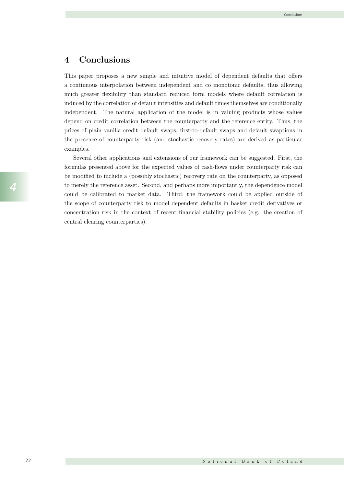#### 4 Conclusions

This paper proposes a new simple and intuitive model of dependent defaults that offers a continuous interpolation between independent and co monotonic defaults, thus allowing much greater flexibility than standard reduced form models where default correlation is induced by the correlation of default intensities and default times themselves are conditionally independent. The natural application of the model is in valuing products whose values depend on credit correlation between the counterparty and the reference entity. Thus, the prices of plain vanilla credit default swaps, first-to-default swaps and default swaptions in the presence of counterparty risk (and stochastic recovery rates) are derived as particular examples.

Several other applications and extensions of our framework can be suggested. First, the formulas presented above for the expected values of cash-flows under counterparty risk can be modified to include a (possibly stochastic) recovery rate on the counterparty, as opposed to merely the reference asset. Second, and perhaps more importantly, the dependence model could be calibrated to market data. Third, the framework could be applied outside of the scope of counterparty risk to model dependent defaults in basket credit derivatives or concentration risk in the context of recent financial stability policies (e.g. the creation of central clearing counterparties).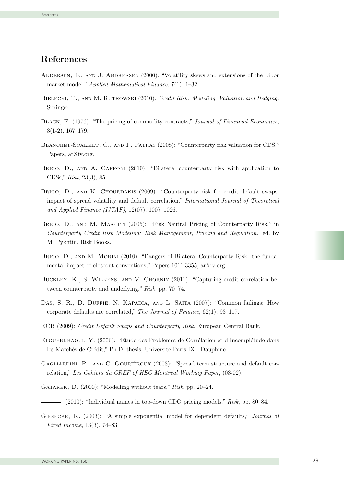### References

- Andersen, L., and J. Andreasen (2000): "Volatility skews and extensions of the Libor market model," Applied Mathematical Finance, 7(1), 1–32.
- BIELECKI, T., AND M. RUTKOWSKI (2010): Credit Risk: Modeling, Valuation and Hedging. Springer.
- BLACK, F. (1976): "The pricing of commodity contracts," Journal of Financial Economics, 3(1-2), 167–179.
- BLANCHET-SCALLIET, C., AND F. PATRAS (2008): "Counterparty risk valuation for CDS," Papers, arXiv.org.
- BRIGO, D., AND A. CAPPONI (2010): "Bilateral counterparty risk with application to CDSs," Risk, 23(3), 85.
- BRIGO, D., AND K. CHOURDAKIS (2009): "Counterparty risk for credit default swaps: impact of spread volatility and default correlation," International Journal of Theoretical and Applied Finance (IJTAF),  $12(07)$ ,  $1007-1026$ .
- BRIGO, D., AND M. MASETTI (2005): "Risk Neutral Pricing of Counterparty Risk," in Counterparty Credit Risk Modeling: Risk Management, Pricing and Regulation., ed. by M. Pykhtin. Risk Books.
- BRIGO, D., AND M. MORINI (2010): "Dangers of Bilateral Counterparty Risk: the fundamental impact of closeout conventions," Papers 1011.3355, arXiv.org.
- Buckley, K., S. Wilkens, and V. Chorniy (2011): "Capturing credit correlation between counterparty and underlying," Risk, pp. 70–74.
- Das, S. R., D. Duffie, N. Kapadia, and L. Saita (2007): "Common failings: How corporate defaults are correlated," The Journal of Finance, 62(1), 93–117.
- ECB (2009): Credit Default Swaps and Counterparty Risk. European Central Bank.
- ELOUERKHAOUI, Y. (2006): "Etude des Problemes de Corrélation et d'Incomplétude dans les Marchés de Crédit," Ph.D. thesis, Universite Paris IX - Dauphine.
- GAGLIARDINI, P., AND C. GOURIÉROUX (2003): "Spread term structure and default correlation," Les Cahiers du CREF of HEC Montréal Working Paper, (03-02).
- GATAREK, D. (2000): "Modelling without tears," Risk, pp. 20–24.

 $-$  (2010): "Individual names in top-down CDO pricing models," Risk, pp. 80–84.

23 GIESECKE, K. (2003): "A simple exponential model for dependent defaults," Journal of Fixed Income, 13(3), 74–83.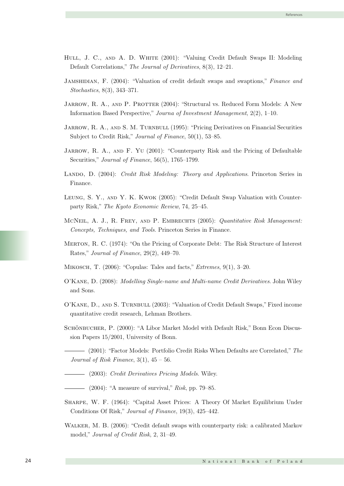- HULL, J. C., AND A. D. WHITE (2001): "Valuing Credit Default Swaps II: Modeling Default Correlations," The Journal of Derivatives, 8(3), 12–21.
- JAMSHIDIAN, F. (2004): "Valuation of credit default swaps and swaptions," Finance and Stochastics, 8(3), 343–371.
- JARROW, R. A., AND P. PROTTER (2004): "Structural vs. Reduced Form Models: A New Information Based Perspective," Journa of Investment Management, 2(2), 1–10.
- JARROW, R. A., AND S. M. TURNBULL (1995): "Pricing Derivatives on Financial Securities Subject to Credit Risk," Journal of Finance, 50(1), 53–85.
- JARROW, R. A., AND F. YU (2001): "Counterparty Risk and the Pricing of Defaultable Securities," Journal of Finance, 56(5), 1765–1799.
- LANDO, D. (2004): Credit Risk Modeling: Theory and Applications. Princeton Series in Finance.
- Leung, S. Y., and Y. K. Kwok (2005): "Credit Default Swap Valuation with Counterparty Risk," The Kyoto Economic Review, 74, 25–45.
- MCNEIL, A. J., R. FREY, AND P. EMBRECHTS (2005): Quantitative Risk Management: Concepts, Techniques, and Tools. Princeton Series in Finance.
- Merton, R. C. (1974): "On the Pricing of Corporate Debt: The Risk Structure of Interest Rates," Journal of Finance, 29(2), 449–70.
- Mikosch, T. (2006): "Copulas: Tales and facts," Extremes, 9(1), 3–20.
- O'Kane, D. (2008): Modelling Single-name and Multi-name Credit Derivatives. John Wiley and Sons.
- O'Kane, D., and S. Turnbull (2003): "Valuation of Credit Default Swaps," Fixed income quantitative credit research, Lehman Brothers.
- SCHÖNBUCHER, P. (2000): "A Libor Market Model with Default Risk," Bonn Econ Discussion Papers 15/2001, University of Bonn.
	- (2001): "Factor Models: Portfolio Credit Risks When Defaults are Correlated," The Journal of Risk Finance,  $3(1)$ ,  $45-56$ .
	- 24 (2003): Credit Derivatives Pricing Models. Wiley.
- $-$  (2004): "A measure of survival," Risk, pp. 79–85.
- Sharpe, W. F. (1964): "Capital Asset Prices: A Theory Of Market Equilibrium Under Conditions Of Risk," Journal of Finance, 19(3), 425–442.
- Walker, M. B. (2006): "Credit default swaps with counterparty risk: a calibrated Markov model," Journal of Credit Risk, 2, 31–49.